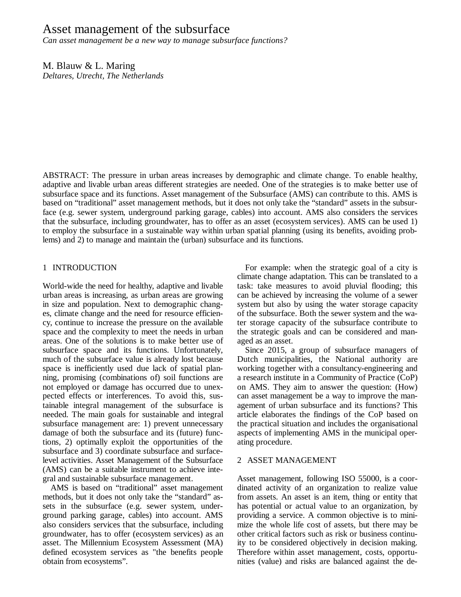# Asset management of the subsurface

*Can asset management be a new way to manage subsurface functions?*

M. Blauw & L. Maring *Deltares, Utrecht, The Netherlands*

ABSTRACT: The pressure in urban areas increases by demographic and climate change. To enable healthy, adaptive and livable urban areas different strategies are needed. One of the strategies is to make better use of subsurface space and its functions. Asset management of the Subsurface (AMS) can contribute to this. AMS is based on "traditional" asset management methods, but it does not only take the "standard" assets in the subsurface (e.g. sewer system, underground parking garage, cables) into account. AMS also considers the services that the subsurface, including groundwater, has to offer as an asset (ecosystem services). AMS can be used 1) to employ the subsurface in a sustainable way within urban spatial planning (using its benefits, avoiding problems) and 2) to manage and maintain the (urban) subsurface and its functions.

# 1 INTRODUCTION

World-wide the need for healthy, adaptive and livable urban areas is increasing, as urban areas are growing in size and population. Next to demographic changes, climate change and the need for resource efficiency, continue to increase the pressure on the available space and the complexity to meet the needs in urban areas. One of the solutions is to make better use of subsurface space and its functions. Unfortunately, much of the subsurface value is already lost because space is inefficiently used due lack of spatial planning, promising (combinations of) soil functions are not employed or damage has occurred due to unexpected effects or interferences. To avoid this, sustainable integral management of the subsurface is needed. The main goals for sustainable and integral subsurface management are: 1) prevent unnecessary damage of both the subsurface and its (future) functions, 2) optimally exploit the opportunities of the subsurface and 3) coordinate subsurface and surfacelevel activities. Asset Management of the Subsurface (AMS) can be a suitable instrument to achieve integral and sustainable subsurface management.

AMS is based on "traditional" asset management methods, but it does not only take the "standard" assets in the subsurface (e.g. sewer system, underground parking garage, cables) into account. AMS also considers services that the subsurface, including groundwater, has to offer (ecosystem services) as an asset. The Millennium Ecosystem Assessment (MA) defined ecosystem services as "the benefits people obtain from ecosystems".

For example: when the strategic goal of a city is climate change adaptation. This can be translated to a task: take measures to avoid pluvial flooding; this can be achieved by increasing the volume of a sewer system but also by using the water storage capacity of the subsurface. Both the sewer system and the water storage capacity of the subsurface contribute to the strategic goals and can be considered and managed as an asset.

Since 2015, a group of subsurface managers of Dutch municipalities, the National authority are working together with a consultancy-engineering and a research institute in a Community of Practice (CoP) on AMS. They aim to answer the question: (How) can asset management be a way to improve the management of urban subsurface and its functions? This article elaborates the findings of the CoP based on the practical situation and includes the organisational aspects of implementing AMS in the municipal operating procedure.

# 2 ASSET MANAGEMENT

Asset management, following ISO 55000, is a coordinated activity of an organization to realize value from assets. An asset is an item, thing or entity that has potential or actual value to an organization, by providing a service. A common objective is to minimize the whole life cost of assets, but there may be other critical factors such as risk or business continuity to be considered objectively in decision making. Therefore within asset management, costs, opportunities (value) and risks are balanced against the de-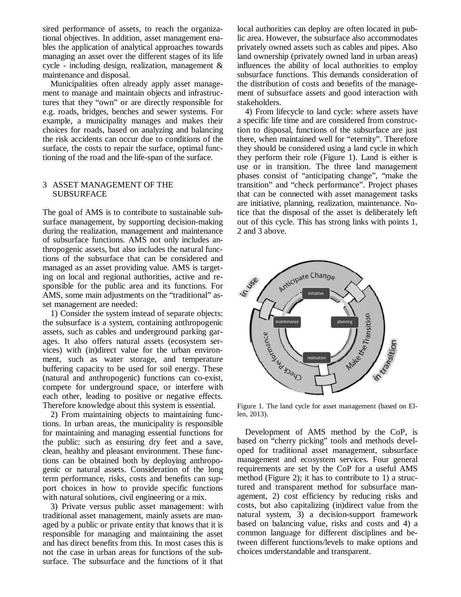sired performance of assets, to reach the organizational objectives. In addition, asset management enables the application of analytical approaches towards managing an asset over the different stages of its life cycle - including design, realization, management & maintenance and disposal.

Municipalities often already apply asset management to manage and maintain objects and infrastructures that they "own" or are directly responsible for e.g. roads, bridges, benches and sewer systems. For example, a municipality manages and makes their choices for roads, based on analyzing and balancing the risk accidents can occur due to conditions of the surface, the costs to repair the surface, optimal functioning of the road and the life-span of the surface.

# 3 ASSET MANAGEMENT OF THE SUBSURFACE

The goal of AMS is to contribute to sustainable subsurface management, by supporting decision-making during the realization, management and maintenance of subsurface functions. AMS not only includes anthropogenic assets, but also includes the natural functions of the subsurface that can be considered and managed as an asset providing value. AMS is targeting on local and regional authorities, active and responsible for the public area and its functions. For AMS, some main adjustments on the "traditional" asset management are needed:

1) Consider the system instead of separate objects: the subsurface is a system, containing anthropogenic assets, such as cables and underground parking garages. It also offers natural assets (ecosystem services) with (in)direct value for the urban environment, such as water storage, and temperature buffering capacity to be used for soil energy. These (natural and anthropogenic) functions can co-exist, compete for underground space, or interfere with each other, leading to positive or negative effects. Therefore knowledge about this system is essential.

2) From maintaining objects to maintaining functions. In urban areas, the municipality is responsible for maintaining and managing essential functions for the public: such as ensuring dry feet and a save, clean, healthy and pleasant environment. These functions can be obtained both by deploying anthropogenic or natural assets. Consideration of the long term performance, risks, costs and benefits can support choices in how to provide specific functions with natural solutions, civil engineering or a mix.

3) Private versus public asset management: with traditional asset management, mainly assets are managed by a public or private entity that knows that it is responsible for managing and maintaining the asset and has direct benefits from this. In most cases this is not the case in urban areas for functions of the subsurface. The subsurface and the functions of it that local authorities can deploy are often located in public area. However, the subsurface also accommodates privately owned assets such as cables and pipes. Also land ownership (privately owned land in urban areas) influences the ability of local authorities to employ subsurface functions. This demands consideration of the distribution of costs and benefits of the management of subsurface assets and good interaction with stakeholders.

4) From lifecycle to land cycle: where assets have a specific life time and are considered from construction to disposal, functions of the subsurface are just there, when maintained well for "eternity". Therefore they should be considered using a land cycle in which they perform their role (Figure 1). Land is either is use or in transition. The three land management phases consist of "anticipating change", "make the transition" and "check performance". Project phases that can be connected with asset management tasks are initiative, planning, realization, maintenance. Notice that the disposal of the asset is deliberately left out of this cycle. This has strong links with points 1, 2 and 3 above.



Figure 1. The land cycle for asset management (based on Ellen, 2013).

Development of AMS method by the CoP, is based on "cherry picking" tools and methods developed for traditional asset management, subsurface management and ecosystem services. Four general requirements are set by the CoP for a useful AMS method (Figure 2); it has to contribute to 1) a structured and transparent method for subsurface management, 2) cost efficiency by reducing risks and costs, but also capitalizing (in)direct value from the natural system, 3) a decision-support framework based on balancing value, risks and costs and 4) a common language for different disciplines and between different functions/levels to make options and choices understandable and transparent.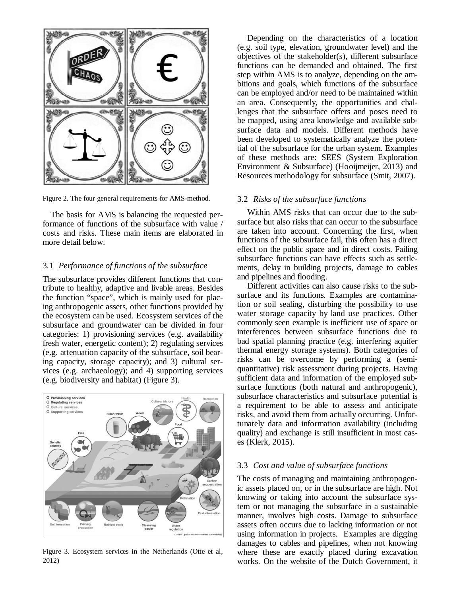

Figure 2. The four general requirements for AMS-method.

The basis for AMS is balancing the requested performance of functions of the subsurface with value / costs and risks. These main items are elaborated in more detail below.

### 3.1 *Performance of functions of the subsurface*

The subsurface provides different functions that contribute to healthy, adaptive and livable areas. Besides the function "space", which is mainly used for placing anthropogenic assets, other functions provided by the ecosystem can be used. Ecosystem services of the subsurface and groundwater can be divided in four categories: 1) provisioning services (e.g. availability fresh water, energetic content); 2) regulating services (e.g. attenuation capacity of the subsurface, soil bearing capacity, storage capacity); and 3) cultural services (e.g. archaeology); and 4) supporting services (e.g. biodiversity and habitat) (Figure 3).



Figure 3. Ecosystem services in the Netherlands (Otte et al, 2012)

Depending on the characteristics of a location (e.g. soil type, elevation, groundwater level) and the objectives of the stakeholder(s), different subsurface functions can be demanded and obtained. The first step within AMS is to analyze, depending on the ambitions and goals, which functions of the subsurface can be employed and/or need to be maintained within an area. Consequently, the opportunities and challenges that the subsurface offers and poses need to be mapped, using area knowledge and available subsurface data and models. Different methods have been developed to systematically analyze the potential of the subsurface for the urban system. Examples of these methods are: SEES (System Exploration Environment & Subsurface) (Hooijmeijer, 2013) and Resources methodology for subsurface (Smit, 2007).

#### 3.2 *Risks of the subsurface functions*

Within AMS risks that can occur due to the subsurface but also risks that can occur to the subsurface are taken into account. Concerning the first, when functions of the subsurface fail, this often has a direct effect on the public space and in direct costs. Failing subsurface functions can have effects such as settlements, delay in building projects, damage to cables and pipelines and flooding.

Different activities can also cause risks to the subsurface and its functions. Examples are contamination or soil sealing, disturbing the possibility to use water storage capacity by land use practices. Other commonly seen example is inefficient use of space or interferences between subsurface functions due to bad spatial planning practice (e.g. interfering aquifer thermal energy storage systems). Both categories of risks can be overcome by performing a (semiquantitative) risk assessment during projects. Having sufficient data and information of the employed subsurface functions (both natural and anthropogenic), subsurface characteristics and subsurface potential is a requirement to be able to assess and anticipate risks, and avoid them from actually occurring. Unfortunately data and information availability (including quality) and exchange is still insufficient in most cases (Klerk, 2015).

#### 3.3 *Cost and value of subsurface functions*

The costs of managing and maintaining anthropogenic assets placed on, or in the subsurface are high. Not knowing or taking into account the subsurface system or not managing the subsurface in a sustainable manner, involves high costs. Damage to subsurface assets often occurs due to lacking information or not using information in projects. Examples are digging damages to cables and pipelines, when not knowing where these are exactly placed during excavation works. On the website of the Dutch Government, it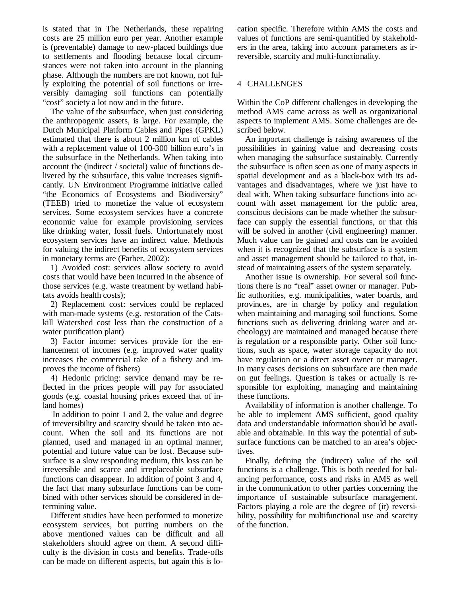is stated that in The Netherlands, these repairing costs are 25 million euro per year. Another example is (preventable) damage to new-placed buildings due to settlements and flooding because local circumstances were not taken into account in the planning phase. Although the numbers are not known, not fully exploiting the potential of soil functions or irreversibly damaging soil functions can potentially "cost" society a lot now and in the future.

The value of the subsurface, when just considering the anthropogenic assets, is large. For example, the Dutch Municipal Platform Cables and Pipes (GPKL) estimated that there is about 2 million km of cables with a replacement value of 100-300 billion euro's in the subsurface in the Netherlands. When taking into account the (indirect / societal) value of functions delivered by the subsurface, this value increases significantly. UN Environment Programme initiative called "the Economics of Ecosystems and Biodiversity" (TEEB) tried to monetize the value of ecosystem services. Some ecosystem services have a concrete economic value for example provisioning services like drinking water, fossil fuels. Unfortunately most ecosystem services have an indirect value. Methods for valuing the indirect benefits of ecosystem services in monetary terms are (Farber, 2002):

1) Avoided cost: services allow society to avoid costs that would have been incurred in the absence of those services (e.g. waste treatment by wetland habitats avoids health costs);

2) Replacement cost: services could be replaced with man-made systems (e.g. restoration of the Catskill Watershed cost less than the construction of a water purification plant)

3) Factor income: services provide for the enhancement of incomes (e.g. improved water quality increases the commercial take of a fishery and improves the income of fishers)

4) Hedonic pricing: service demand may be reflected in the prices people will pay for associated goods (e.g. coastal housing prices exceed that of inland homes)

In addition to point 1 and 2, the value and degree of irreversibility and scarcity should be taken into account. When the soil and its functions are not planned, used and managed in an optimal manner, potential and future value can be lost. Because subsurface is a slow responding medium, this loss can be irreversible and scarce and irreplaceable subsurface functions can disappear. In addition of point 3 and 4, the fact that many subsurface functions can be combined with other services should be considered in determining value.

Different studies have been performed to monetize ecosystem services, but putting numbers on the above mentioned values can be difficult and all stakeholders should agree on them. A second difficulty is the division in costs and benefits. Trade-offs can be made on different aspects, but again this is location specific. Therefore within AMS the costs and values of functions are semi-quantified by stakeholders in the area, taking into account parameters as irreversible, scarcity and multi-functionality.

# 4 CHALLENGES

Within the CoP different challenges in developing the method AMS came across as well as organizational aspects to implement AMS. Some challenges are described below.

An important challenge is raising awareness of the possibilities in gaining value and decreasing costs when managing the subsurface sustainably. Currently the subsurface is often seen as one of many aspects in spatial development and as a black-box with its advantages and disadvantages, where we just have to deal with. When taking subsurface functions into account with asset management for the public area, conscious decisions can be made whether the subsurface can supply the essential functions, or that this will be solved in another (civil engineering) manner. Much value can be gained and costs can be avoided when it is recognized that the subsurface is a system and asset management should be tailored to that, instead of maintaining assets of the system separately.

Another issue is ownership. For several soil functions there is no "real" asset owner or manager. Public authorities, e.g. municipalities, water boards, and provinces, are in charge by policy and regulation when maintaining and managing soil functions. Some functions such as delivering drinking water and archeology) are maintained and managed because there is regulation or a responsible party. Other soil functions, such as space, water storage capacity do not have regulation or a direct asset owner or manager. In many cases decisions on subsurface are then made on gut feelings. Question is takes or actually is responsible for exploiting, managing and maintaining these functions.

Availability of information is another challenge. To be able to implement AMS sufficient, good quality data and understandable information should be available and obtainable. In this way the potential of subsurface functions can be matched to an area's objectives.

Finally, defining the (indirect) value of the soil functions is a challenge. This is both needed for balancing performance, costs and risks in AMS as well in the communication to other parties concerning the importance of sustainable subsurface management. Factors playing a role are the degree of (ir) reversibility, possibility for multifunctional use and scarcity of the function.